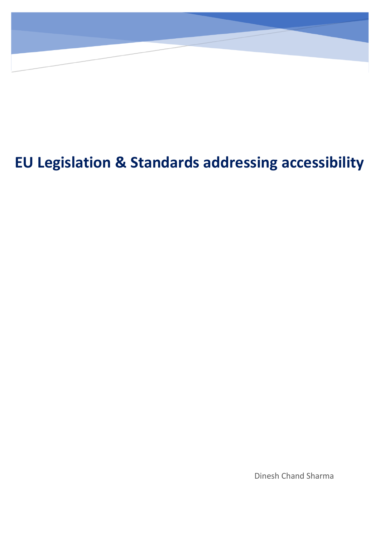# **EU Legislation & Standards addressing accessibility**

Dinesh Chand Sharma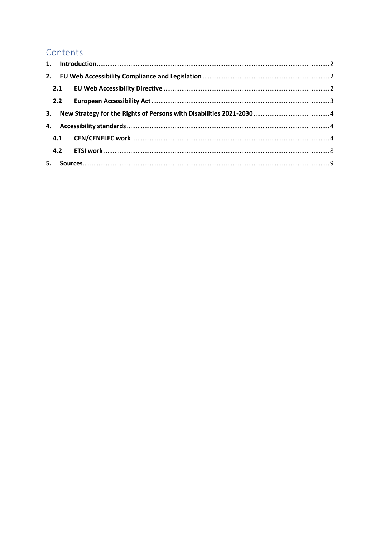# Contents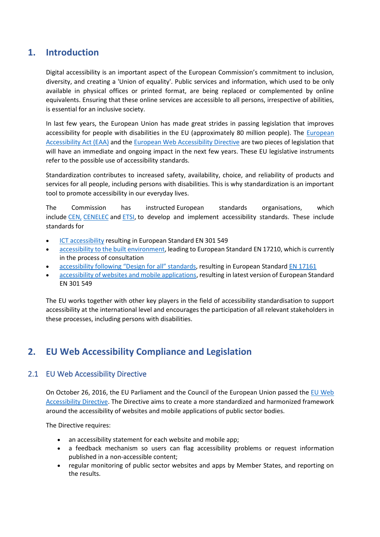# <span id="page-2-0"></span>**1. Introduction**

Digital accessibility is an important aspect of the European Commission's commitment to inclusion, diversity, and creating a 'Union of equality'. Public services and information, which used to be only available in physical offices or printed format, are being replaced or complemented by online equivalents. Ensuring that these online services are accessible to all persons, irrespective of abilities, is essential for an inclusive society.

In last few years, the European Union has made great strides in passing legislation that improves accessibility for people with disabilities in the EU (approximately 80 million people). The *European* [Accessibility Act \(EAA\)](https://ec.europa.eu/social/main.jsp?catId=1202) and th[e European Web Accessibility Directive](https://eur-lex.europa.eu/legal-content/EN/TXT/?uri=uriserv:OJ.L_.2016.327.01.0001.01.ENG&toc=OJ:L:2016:327:TOC) are two pieces of legislation that will have an immediate and ongoing impact in the next few years. These EU legislative instruments refer to the possible use of accessibility standards.

Standardization contributes to increased safety, availability, choice, and reliability of products and services for all people, including persons with disabilities. This is why standardization is an important tool to promote accessibility in our everyday lives.

The Commission has instructed European standards organisations, which include [CEN,](https://www.cen.eu/Pages/default.aspx) [CENELEC](https://www.cenelec.eu/) and [ETSI,](https://www.etsi.org/) to develop and implement accessibility standards. These include standards for

- [ICT accessibility](https://ec.europa.eu/eip/ageing/standards/ict-and-communication/accessibility-and-design-all/m376-ict-procurement-toolkit_en) resulting in European Standard EN 301 549
- [accessibility to the built environment,](https://ec.europa.eu/eip/ageing/standards/home/accessibility-and-design-all/m420_en) leading to European Standard EN 17210, which is currently in the process of consultation
- accessibili[ty following "Design for all" standards](https://ec.europa.eu/eip/ageing/standards/home/accessibility-and-design-all/m473_en), resulting in European Standard [EN 17161](https://standards.cencenelec.eu/dyn/www/f?p=CEN:110:0::::FSP_PROJECT,FSP_ORG_ID:62323,2301962&cs=1AECBCDFF18BED2C84BA2E5FA7AF6E955)
- [accessibility of websites and mobile applications,](https://ec.europa.eu/growth/tools-databases/mandates/index.cfm?fuseaction=search.detail&id=577) resulting in latest version of European Standard EN 301 549

The EU works together with other key players in the field of accessibility standardisation to support accessibility at the international level and encourages the participation of all relevant stakeholders in these processes, including persons with disabilities.

# <span id="page-2-1"></span>**2. EU Web Accessibility Compliance and Legislation**

### <span id="page-2-2"></span>2.1 EU Web Accessibility Directive

On October 26, 2016, the EU Parliament and the Council of the European Union passed the EU Web [Accessibility Directive.](https://eur-lex.europa.eu/legal-content/en/TXT/?uri=CELEX%3A32016L2102) The Directive aims to create a more standardized and harmonized framework around the accessibility of websites and mobile applications of public sector bodies.

The Directive requires:

- an accessibility statement for each website and mobile app;
- a feedback mechanism so users can flag accessibility problems or request information published in a non-accessible content;
- regular monitoring of public sector websites and apps by Member States, and reporting on the results.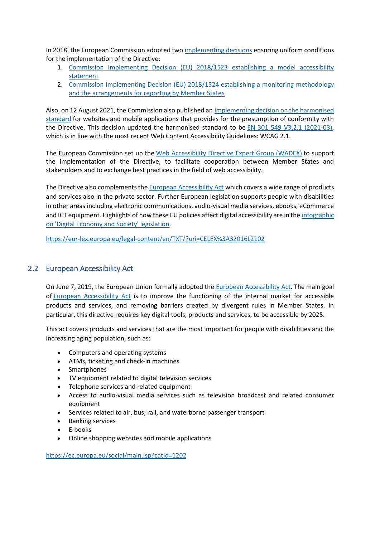In 2018, the European Commission adopted two [implementing decisions](https://digital-strategy.ec.europa.eu/en/news/publication-implementing-acts-under-web-accessibility-directive) ensuring uniform conditions for the implementation of the Directive:

- 1. [Commission Implementing Decision \(EU\) 2018/1523 establishing a model accessibility](https://eur-lex.europa.eu/eli/dec_impl/2018/1523/oj)  [statement](https://eur-lex.europa.eu/eli/dec_impl/2018/1523/oj)
- 2. [Commission Implementing Decision \(EU\) 2018/1524 establishing a monitoring](https://eur-lex.europa.eu/eli/dec_impl/2018/1524/oj) methodology [and the arrangements for reporting by Member States](https://eur-lex.europa.eu/eli/dec_impl/2018/1524/oj)

Also, on 12 August 2021, the Commission also published an [implementing decision on the harmonised](https://eur-lex.europa.eu/eli/dec_impl/2021/1339)  [standard](https://eur-lex.europa.eu/eli/dec_impl/2021/1339) for websites and mobile applications that provides for the presumption of conformity with the Directive. This decision updated the harmonised standard to be [EN 301 549 V3.2.1 \(2021-03\),](https://www.etsi.org/deliver/etsi_en/301500_301599/301549/03.02.01_60/en_301549v030201p.pdf) which is in line with the most recent Web Content Accessibility Guidelines: WCAG 2.1.

The European Commission set up the [Web Accessibility Directive Expert Group \(WADEX\)](https://digital-strategy.ec.europa.eu/en/policies/wadex) to support the implementation of the Directive, to facilitate cooperation between Member States and stakeholders and to exchange best practices in the field of web accessibility.

The Directive also complements the [European Accessibility Act](https://ec.europa.eu/social/main.jsp?catId=1202) which covers a wide range of products and services also in the private sector. Further European legislation supports people with disabilities in other areas including electronic communications, audio-visual media services, ebooks, eCommerce and ICT equipment. Highlights of how these EU policies affect digital accessibility are in the [infographic](https://digital-strategy.ec.europa.eu/en/library/accessibility-essential-some-useful-all)  [on 'Digital Economy and Society'](https://digital-strategy.ec.europa.eu/en/library/accessibility-essential-some-useful-all) legislation.

<https://eur-lex.europa.eu/legal-content/en/TXT/?uri=CELEX%3A32016L2102>

### <span id="page-3-0"></span>2.2 [European Accessibility Act](https://ec.europa.eu/social/main.jsp?catId=1202)

On June 7, 2019, the European Union formally adopted the [European Accessibility Act.](https://eur-lex.europa.eu/legal-content/EN/TXT/?uri=COM%3A2015%3A0615%3AFIN) The main goal of **[European Accessibility Act](https://ec.europa.eu/social/main.jsp?catId=1202)** is to improve the functioning of the internal market for accessible products and services, and removing barriers created by divergent rules in Member States. In particular, this directive requires key digital tools, products and services, to be accessible by 2025.

This act covers products and services that are the most important for people with disabilities and the increasing aging population, such as:

- Computers and operating systems
- ATMs, ticketing and check-in machines
- Smartphones
- TV equipment related to digital television services
- Telephone services and related equipment
- Access to audio-visual media services such as television broadcast and related consumer equipment
- Services related to air, bus, rail, and waterborne passenger transport
- Banking services
- E-books
- Online shopping websites and mobile applications

<https://ec.europa.eu/social/main.jsp?catId=1202>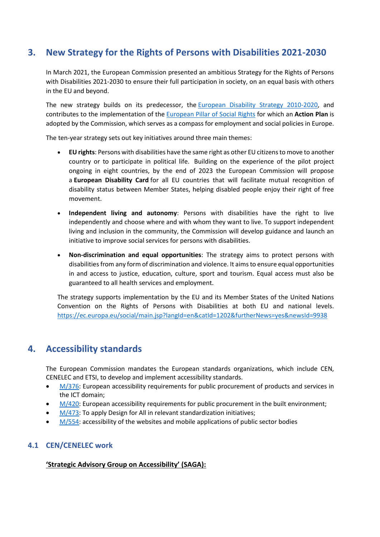# <span id="page-4-0"></span>**3. [New Strategy for the Rights of Persons with Disabilities 2021-2030](https://ec.europa.eu/social/main.jsp?catId=1484&langId=en)**

In March 2021, the European Commission presented an ambitious Strategy for the Rights of Persons with Disabilities 2021-2030 to ensure their full participation in society, on an equal basis with others in the EU and beyond.

The new strategy builds on its predecessor, the [European Disability Strategy 2010-2020,](https://eur-lex.europa.eu/legal-content/EN/TXT/?uri=LEGISSUM%3Aem0047) and contributes to the implementation of the [European Pillar of Social Rights](https://ec.europa.eu/social/main.jsp?catId=1226) for which an **Action Plan** is adopted by the Commission, which serves as a compass for employment and social policies in Europe.

The ten-year strategy sets out key initiatives around three main themes:

- **EU rights**: Persons with disabilities have the same right as other EU citizens to move to another country or to participate in political life. Building on the experience of the pilot project ongoing in eight countries, by the end of 2023 the European Commission will propose a **European Disability Card** for all EU countries that will facilitate mutual recognition of disability status between Member States, helping disabled people enjoy their right of free movement.
- **Independent living and autonomy**: Persons with disabilities have the right to live independently and choose where and with whom they want to live. To support independent living and inclusion in the community, the Commission will develop guidance and launch an initiative to improve social services for persons with disabilities.
- **Non-discrimination and equal opportunities**: The strategy aims to protect persons with disabilities from any form of discrimination and violence. It aims to ensure equal opportunities in and access to justice, education, culture, sport and tourism. Equal access must also be guaranteed to all health services and employment.

The strategy supports implementation by the EU and its Member States of the United Nations Convention on the Rights of Persons with Disabilities at both EU and national levels. <https://ec.europa.eu/social/main.jsp?langId=en&catId=1202&furtherNews=yes&newsId=9938>

## <span id="page-4-1"></span>**4. Accessibility standards**

The European Commission mandates the European standards organizations, which include CEN, CENELEC and ETSI, to develop and implement accessibility standards.

- $M/376$ : European accessibility requirements for public procurement of products and services in the ICT domain;
- [M/420:](https://ec.europa.eu/growth/tools-databases/mandates/index.cfm?fuseaction=search.detail&id=392) European accessibility requirements for public procurement in the built environment;
- [M/473:](https://ec.europa.eu/growth/tools-databases/mandates/index.cfm?fuseaction=search.detail&id=461) To apply Design for All in relevant standardization initiatives;
- $M/554$ : accessibility of the websites and mobile applications of public sector bodies

### <span id="page-4-2"></span>**4.1 CEN/CENELEC work**

#### **'Strategic Advisory Group on Accessibility' (SAGA):**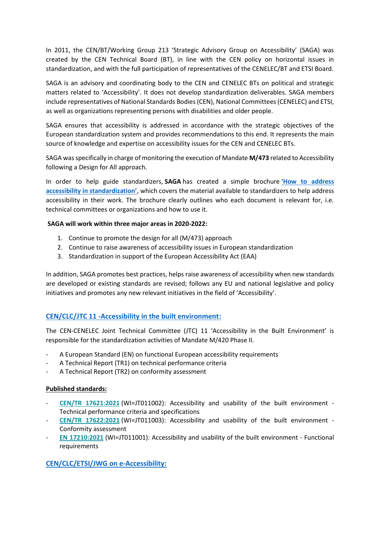In 2011, the CEN/BT/Working Group 213 'Strategic Advisory Group on Accessibility' (SAGA) was created by the CEN Technical Board (BT), in line with the CEN policy on horizontal issues in standardization, and with the full participation of representatives of the CENELEC/BT and ETSI Board.

SAGA is an advisory and coordinating body to the CEN and CENELEC BTs on political and strategic matters related to 'Accessibility'. It does not develop standardization deliverables. SAGA members include representatives of National Standards Bodies (CEN), National Committees (CENELEC) and ETSI, as well as organizations representing persons with disabilities and older people.

SAGA ensures that accessibility is addressed in accordance with the strategic objectives of the European standardization system and provides recommendations to this end. It represents the main source of knowledge and expertise on accessibility issues for the CEN and CENELEC BTs.

SAGA was specifically in charge of monitoring the execution of Mandate **M/473** related to Accessibility following a Design for All approach.

In order to help guide standardizers, **SAGA** has created a simple brochure **['How to address](https://www.cencenelec.eu/media/CEN-CENELEC/Areas%20of%20Work/CEN-CENELEC%20Topics/Accessibility/Intro/Quicklinks%20Guides/brochure_saga_acces.pdf)  [accessibility in standardization'](https://www.cencenelec.eu/media/CEN-CENELEC/Areas%20of%20Work/CEN-CENELEC%20Topics/Accessibility/Intro/Quicklinks%20Guides/brochure_saga_acces.pdf)**, which covers the material available to standardizers to help address accessibility in their work. The brochure clearly outlines who each document is relevant for, i.e. technical committees or organizations and how to use it.

#### **SAGA will work within three major areas in 2020-2022:**

- 1. Continue to promote the design for all (M/473) approach
- 2. Continue to raise awareness of accessibility issues in European standardization
- 3. Standardization in support of the European Accessibility Act (EAA)

In addition, SAGA promotes best practices, helps raise awareness of accessibility when new standards are developed or existing standards are revised; follows any EU and national legislative and policy initiatives and promotes any new relevant initiatives in the field of 'Accessibility'.

### **[CEN/CLC/JTC 11 -Accessibility in the built environment:](https://standards.cencenelec.eu/dyn/www/f?p=205:7:0::::FSP_ORG_ID:2274045&cs=1722202B1DF8AC2E85DFDF297E8F7B95B)**

The CEN-CENELEC Joint Technical Committee (JTC) 11 'Accessibility in the Built Environment' is responsible for the standardization activities of Mandate M/420 Phase II.

- A European Standard (EN) on functional European accessibility requirements
- A Technical Report (TR1) on technical performance criteria
- A Technical Report (TR2) on conformity assessment

#### **Published standards:**

- **CEN/TR [17621:2021](https://standards.cencenelec.eu/dyn/www/f?p=205:110:0::::FSP_PROJECT:65252&cs=1BDC7CB6A2B4C7180C9F15F4D76955BEC)** (WI=JT011002): Accessibility and usability of the built environment Technical performance criteria and specifications
- **CEN/TR [17622:2021](https://standards.cencenelec.eu/dyn/www/f?p=205:110:0::::FSP_PROJECT:72494&cs=1824D0D987552C023CD00B9585B51D4CB)** (WI=JT011003): Accessibility and usability of the built environment Conformity assessment
- **EN [17210:2021](https://standards.cencenelec.eu/dyn/www/f?p=205:110:0::::FSP_PROJECT:65077&cs=12B383BC5BA5C8664FC636BD53111B23D)** (WI=JT011001): Accessibility and usability of the built environment Functional requirements

#### **[CEN/CLC/ETSI/JWG on e-Accessibility:](https://standards.cencenelec.eu/dyn/www/f?p=205:32:0::::FSP_ORG_ID,FSP_LANG_ID:855949,25&cs=13B53D7BA6C19E631C9C6010E009CA186)**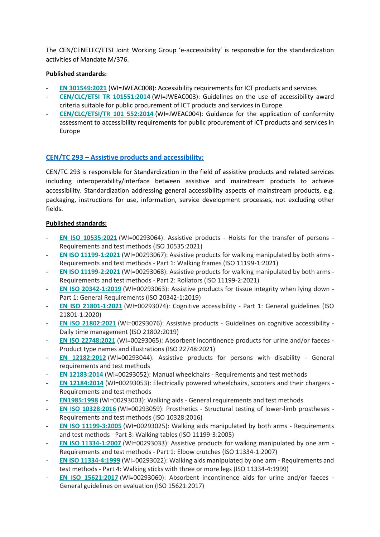The CEN/CENELEC/ETSI Joint Working Group 'e-accessibility' is responsible for the standardization activities of Mandate M/376.

#### **Published standards:**

- **EN [301549:2021](https://standards.cencenelec.eu/dyn/www/f?p=205:110:0::::FSP_PROJECT:72841&cs=1CECAE8F0020ADBC373E305AEEBB0442E)** (WI=JWEAC008): Accessibility requirements for ICT products and services
- **[CEN/CLC/ETSI](https://standards.cencenelec.eu/dyn/www/f?p=205:110:0::::FSP_PROJECT:37054&cs=1BAA610CD516426825AE97A0EE8F78C36) TR 101551:2014** (WI=JWEAC003): Guidelines on the use of accessibility award criteria suitable for public procurement of ICT products and services in Europe
- **[CEN/CLC/ETSI/TR](https://standards.cencenelec.eu/dyn/www/f?p=205:110:0::::FSP_PROJECT:37055&cs=1B01C807C9CB20A50C1A7059541207293) 101 552:2014** (WI=JWEAC004): Guidance for the application of conformity assessment to accessibility requirements for public procurement of ICT products and services in Europe

#### **CEN/TC 293 – [Assistive products and accessibility:](https://standards.cencenelec.eu/dyn/www/f?p=205:7:0::::FSP_ORG_ID:6274&cs=1DA9319C3F7CA61FB811523B29BFE6820)**

CEN/TC 293 is responsible for Standardization in the field of assistive products and related services including interoperability/interface between assistive and mainstream products to achieve accessibility. Standardization addressing general accessibility aspects of mainstream products, e.g. packaging, instructions for use, information, service development processes, not excluding other fields.

#### **Published standards:**

- **EN ISO [10535:2021](https://standards.cencenelec.eu/dyn/www/f?p=205:110:0::::FSP_PROJECT:64348&cs=1C1E50DB8AF1228BBBD8FB5D2CF081EE8)** (WI=00293064): Assistive products Hoists for the transfer of persons Requirements and test methods (ISO 10535:2021)
- **EN ISO [11199-1:2021](https://standards.cencenelec.eu/dyn/www/f?p=205:110:0::::FSP_PROJECT:68992&cs=132AC9FB4DD6112DEAA0D7CD3887F96C5)** (WI=00293067): Assistive products for walking manipulated by both arms Requirements and test methods - Part 1: Walking frames (ISO 11199-1:2021)
- **EN ISO [11199-2:2021](https://standards.cencenelec.eu/dyn/www/f?p=205:110:0::::FSP_PROJECT:68995&cs=133CE22DF6F2CEE61CE3026EB0E4DB8A1)** (WI=00293068): Assistive products for walking manipulated by both arms Requirements and test methods - Part 2: Rollators (ISO 11199-2:2021)
- **EN ISO [20342-1:2019](https://standards.cencenelec.eu/dyn/www/f?p=205:110:0::::FSP_PROJECT:64346&cs=100FC375A7C026BBE8A3298668D19DBA4)** (WI=00293063): Assistive products for tissue integrity when lying down Part 1: General Requirements (ISO 20342-1:2019)
- **EN ISO [21801-1:2021](https://standards.cencenelec.eu/dyn/www/f?p=205:110:0::::FSP_PROJECT:72294&cs=19F8D5D96024471F1803E2F82D92F234E)** (WI=00293074): Cognitive accessibility Part 1: General guidelines (ISO 21801-1:2020)
- **EN ISO [21802:2021](https://standards.cencenelec.eu/dyn/www/f?p=205:110:0::::FSP_PROJECT:73098&cs=1FADE4122507B298DABAF4B636CF72F97)** (WI=00293076): Assistive products Guidelines on cognitive accessibility Daily time management (ISO 21802:2019)
- **EN ISO [22748:2021](https://standards.cencenelec.eu/dyn/www/f?p=205:110:0::::FSP_PROJECT:66492&cs=1F82CC186E1165F30CAE0AE43F6AC6DCC)** (WI=00293065): Absorbent incontinence products for urine and/or faeces Product type names and illustrations (ISO 22748:2021)
- **EN [12182:2012](https://standards.cencenelec.eu/dyn/www/f?p=205:110:0::::FSP_PROJECT:30940&cs=1C9F66DBCA451AD8BD3A73A5B82AD5C71)** (WI=00293044): Assistive products for persons with disability General requirements and test methods
- **EN [12183:2014](https://standards.cencenelec.eu/dyn/www/f?p=205:110:0::::FSP_PROJECT:33939&cs=172C7A167ACC2309A0CD39C848BCEA1A4)** (WI=00293052): Manual wheelchairs Requirements and test methods
- **EN [12184:2014](https://standards.cencenelec.eu/dyn/www/f?p=205:110:0::::FSP_PROJECT:33940&cs=17B9ED0A7431E4092147661564D47F89A)** (WI=00293053): Electrically powered wheelchairs, scooters and their chargers Requirements and test methods
- **[EN1985:1998](https://standards.cencenelec.eu/dyn/www/f?p=205:110:0::::FSP_PROJECT:14501&cs=1CFA204CBACDE38F88FCFF720D8FC72B3)** (WI=00293003): Walking aids General requirements and test methods
- **EN ISO [10328:2016](https://standards.cencenelec.eu/dyn/www/f?p=205:110:0::::FSP_PROJECT:61747&cs=1374739B764174AB82A6D9B3D79C79816)** (WI=00293059): Prosthetics Structural testing of lower-limb prostheses Requirements and test methods (ISO 10328:2016)
- **EN ISO [11199-3:2005](https://standards.cencenelec.eu/dyn/www/f?p=205:110:0::::FSP_PROJECT:14523&cs=14296CBC02856CD169FDE0744F0E6AFAD)** (WI=00293025): Walking aids manipulated by both arms Requirements and test methods - Part 3: Walking tables (ISO 11199-3:2005)
- **EN ISO [11334-1:2007](https://standards.cencenelec.eu/dyn/www/f?p=205:110:0::::FSP_PROJECT:21512&cs=106C7C135B70CD1A9D9AD66BFCF5D2092)** (WI=00293033): Assistive products for walking manipulated by one arm Requirements and test methods - Part 1: Elbow crutches (ISO 11334-1:2007)
- **EN ISO [11334-4:1999](https://standards.cencenelec.eu/dyn/www/f?p=205:110:0::::FSP_PROJECT:14520&cs=1DF80F6CC8299847ED923339E419DDB82)** (WI=00293022): Walking aids manipulated by one arm Requirements and test methods - Part 4: Walking sticks with three or more legs (ISO 11334-4:1999)
- **EN ISO [15621:2017](https://standards.cencenelec.eu/dyn/www/f?p=205:110:0::::FSP_PROJECT:62281&cs=1BBD14333E54F1F9EF9A035C1B819676E)** (WI=00293060): Absorbent incontinence aids for urine and/or faeces General guidelines on evaluation (ISO 15621:2017)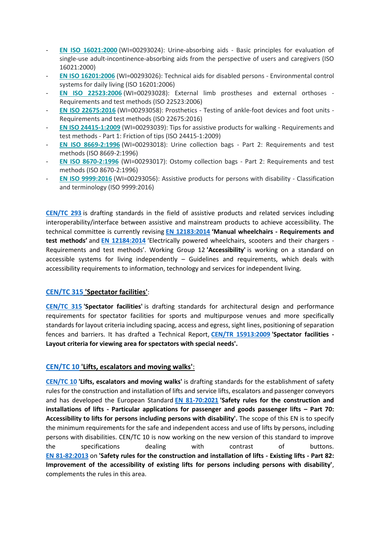- **EN ISO [16021:2000](https://standards.cencenelec.eu/dyn/www/f?p=205:110:0::::FSP_PROJECT:14522&cs=1D518CF51D80D35CF78BA7BD1793FCA3B)** (WI=00293024): Urine-absorbing aids Basic principles for evaluation of single-use adult-incontinence-absorbing aids from the perspective of users and caregivers (ISO 16021:2000)
- **EN ISO [16201:2006](https://standards.cencenelec.eu/dyn/www/f?p=205:110:0::::FSP_PROJECT:14524&cs=1C7FCC77E1B78E2BB3557FD522D7092F5)** (WI=00293026): Technical aids for disabled persons Environmental control systems for daily living (ISO 16201:2006)
- **EN ISO [22523:2006](https://standards.cencenelec.eu/dyn/www/f?p=205:110:0::::FSP_PROJECT:14526&cs=1F1F2EA7F3F733853B8342E4CDE8ECCFD)** (WI=00293028): External limb prostheses and external orthoses Requirements and test methods (ISO 22523:2006)
- **EN ISO [22675:2016](https://standards.cencenelec.eu/dyn/www/f?p=205:110:0::::FSP_PROJECT:61745&cs=16799DD1FA7CF868393DA85076E5FE902)** (WI=00293058): Prosthetics Testing of ankle-foot devices and foot units Requirements and test methods (ISO 22675:2016)
- **EN ISO [24415-1:2009](https://standards.cencenelec.eu/dyn/www/f?p=205:110:0::::FSP_PROJECT:25544&cs=13627C7D89100981D8A2EE43E61CEF1EC)** (WI=00293039): Tips for assistive products for walking Requirements and test methods - Part 1: Friction of tips (ISO 24415-1:2009)
- **EN ISO [8669-2:1996](https://standards.cencenelec.eu/dyn/www/f?p=205:110:0::::FSP_PROJECT:14516&cs=1DA17F308BB9174E0B5298EC6B3C7F4BB)** (WI=00293018): Urine collection bags Part 2: Requirements and test methods (ISO 8669-2:1996)
- **EN ISO [8670-2:1996](https://standards.cencenelec.eu/dyn/www/f?p=205:110:0::::FSP_PROJECT:14515&cs=19394C9059AA0B26E512A95BECE87EFDF)** (WI=00293017): Ostomy collection bags Part 2: Requirements and test methods (ISO 8670-2:1996)
- **EN ISO [9999:2016](https://standards.cencenelec.eu/dyn/www/f?p=205:110:0::::FSP_PROJECT:37823&cs=1466BB9AFD5F64E75C8B588BF6A4DB6C4)** (WI=00293056): Assistive products for persons with disability Classification and terminology (ISO 9999:2016)

**[CEN/TC 293](https://standards.cencenelec.eu/dyn/www/f?p=205:7:0::::FSP_ORG_ID:6274&cs=1DA9319C3F7CA61FB811523B29BFE6820)** is drafting standards in the field of assistive products and related services including interoperability/interface between assistive and mainstream products to achieve accessibility. The technical committee is currently revising **[EN 12183:2014](https://standards.cencenelec.eu/dyn/www/f?p=CEN:110:0::::FSP_PROJECT,FSP_ORG_ID:33939,6274&cs=113BE6B24D6BD31D68CFA8FD9B86222D3) 'Manual wheelchairs - Requirements and test methods'** and **[EN 12184:2014](https://standards.cencenelec.eu/dyn/www/f?p=CEN:110:0::::FSP_PROJECT,FSP_ORG_ID:33940,6274&cs=12E63B4D1A88CE3B1C08B5416A884431D)** 'Electrically powered wheelchairs, scooters and their chargers - Requirements and test methods'. Working Group 12 **'Accessibility'** is working on a standard on accessible systems for living independently  $-$  Guidelines and requirements, which deals with accessibility requirements to information, technology and services for independent living.

#### **[CEN/TC 315](https://standards.cencenelec.eu/dyn/www/f?p=205:7:0::::FSP_ORG_ID:6296&cs=1ECEDB03AF3B4688A169454DCD2A94675) 'Spectator facilities'**:

**[CEN/TC 315](https://standards.cencenelec.eu/dyn/www/f?p=205:7:0::::FSP_ORG_ID:6296&cs=1ECEDB03AF3B4688A169454DCD2A94675) 'Spectator facilities'** is drafting standards for architectural design and performance requirements for spectator facilities for sports and multipurpose venues and more specifically standards for layout criteria including spacing, access and egress, sight lines, positioning of separation fences and barriers. It has drafted a Technical Report, **[CEN/TR 15913:2009](https://standards.cencenelec.eu/dyn/www/f?p=CEN:110:0::::FSP_PROJECT,FSP_ORG_ID:32554,6296&cs=19188380E1B708F6CF911C08D18C787A8) 'Spectator facilities - Layout criteria for viewing area for spectators with special needs'.**

#### **[CEN/TC 10](https://standards.cencenelec.eu/dyn/www/f?p=205:7:0::::FSP_ORG_ID:5994&cs=1F29FAC9CFD9317AE1AC60301E4E95386) 'Lifts, escalators and moving walks'**:

**[CEN/TC 10](https://standards.cencenelec.eu/dyn/www/f?p=205:7:0::::FSP_ORG_ID:5994&cs=1F29FAC9CFD9317AE1AC60301E4E95386) 'Lifts, escalators and moving walks'** is drafting standards for the establishment of safety rules for the construction and installation of lifts and service lifts, escalators and passenger conveyors and has developed the European Standard **[EN 81-70:2021](https://standards.cencenelec.eu/dyn/www/f?p=CEN:110:0::::FSP_PROJECT,FSP_ORG_ID:66363,5994&cs=194154A171F561E5426E3B23FE2FCA6A4) 'Safety rules for the construction and installations of lifts - Particular applications for passenger and goods passenger lifts – Part 70: Accessibility to lifts for persons including persons with disability'.** The scope of this EN is to specify the minimum requirements for the safe and independent access and use of lifts by persons, including persons with disabilities. CEN/TC 10 is now working on the new version of this standard to improve the specifications dealing with contrast of buttons. **[EN 81-82:2013](https://standards.cencenelec.eu/dyn/www/f?p=CEN:110:0::::FSP_PROJECT,FSP_ORG_ID:34613,5994&cs=1B92D3C02F48C904ACAE4A733890B0941)** on **'Safety rules for the construction and installation of lifts - Existing lifts - Part 82: Improvement of the accessibility of existing lifts for persons including persons with disability'**, complements the rules in this area.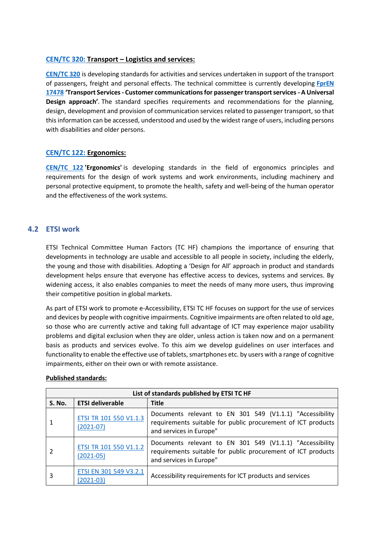#### **[CEN/TC 320:](https://standards.cencenelec.eu/dyn/www/f?p=205:7:0::::FSP_ORG_ID:6301&cs=1BAEBFD72D540A02FA73DBF8A9D7D4CD3) Transport – Logistics and services:**

**[CEN/TC 320](https://standards.cencenelec.eu/dyn/www/f?p=205:7:0::::FSP_ORG_ID:6301&cs=1BAEBFD72D540A02FA73DBF8A9D7D4CD3)** is developing standards for activities and services undertaken in support of the transport of passengers, freight and personal effects. The technical committee is currently developing **[FprEN](https://standards.cencenelec.eu/dyn/www/f?p=CEN:110:0::::FSP_PROJECT,FSP_ORG_ID:69005,6301&cs=1284F1454FB82332D1B2016E9F4510154)  [17478](https://standards.cencenelec.eu/dyn/www/f?p=CEN:110:0::::FSP_PROJECT,FSP_ORG_ID:69005,6301&cs=1284F1454FB82332D1B2016E9F4510154) 'Transport Services - Customer communications for passenger transport services - A Universal Design approach'***.* The standard specifies requirements and recommendations for the planning, design, development and provision of communication services related to passenger transport, so that this information can be accessed, understood and used by the widest range of users, including persons with disabilities and older persons.

#### **[CEN/TC 122:](https://standards.cencenelec.eu/dyn/www/f?p=205:7:0::::FSP_ORG_ID:6104&cs=1DE0B1DD84DBF1A3215C0969AEA69A04D) Ergonomics:**

**[CEN/TC 122](https://standards.cencenelec.eu/dyn/www/f?p=205:7:0::::FSP_ORG_ID:6104&cs=1DE0B1DD84DBF1A3215C0969AEA69A04D) 'Ergonomics'** is developing standards in the field of ergonomics principles and requirements for the design of work systems and work environments, including machinery and personal protective equipment, to promote the health, safety and well-being of the human operator and the effectiveness of the work systems.

#### <span id="page-8-0"></span>**4.2 ETSI work**

ETSI Technical Committee Human Factors (TC HF) champions the importance of ensuring that developments in technology are usable and accessible to all people in society, including the elderly, the young and those with disabilities. Adopting a 'Design for All' approach in product and standards development helps ensure that everyone has effective access to devices, systems and services. By widening access, it also enables companies to meet the needs of many more users, thus improving their competitive position in global markets.

As part of ETSI work to promote e-Accessibility, ETSI TC HF focuses on support for the use of services and devices by people with cognitive impairments. Cognitive impairments are often related to old age, so those who are currently active and taking full advantage of ICT may experience major usability problems and digital exclusion when they are older, unless action is taken now and on a permanent basis as products and services evolve. To this aim we develop guidelines on user interfaces and functionality to enable the effective use of tablets, smartphones etc. by users with a range of cognitive impairments, either on their own or with remote assistance.

| List of standards published by ETSI TC HF |                                         |                                                                                                                                                     |  |  |
|-------------------------------------------|-----------------------------------------|-----------------------------------------------------------------------------------------------------------------------------------------------------|--|--|
| <b>S. No.</b>                             | <b>ETSI deliverable</b>                 | <b>Title</b>                                                                                                                                        |  |  |
|                                           | ETSI TR 101 550 V1.1.3<br>$(2021-07)$   | Documents relevant to EN 301 549 (V1.1.1) "Accessibility<br>requirements suitable for public procurement of ICT products<br>and services in Europe" |  |  |
|                                           | ETSI TR 101 550 V1.1.2<br>$(2021 - 05)$ | Documents relevant to EN 301 549 (V1.1.1) "Accessibility<br>requirements suitable for public procurement of ICT products<br>and services in Europe" |  |  |
| 3                                         | ETSI EN 301 549 V3.2.1<br>$(2021-03)$   | Accessibility requirements for ICT products and services                                                                                            |  |  |

#### **Published standards:**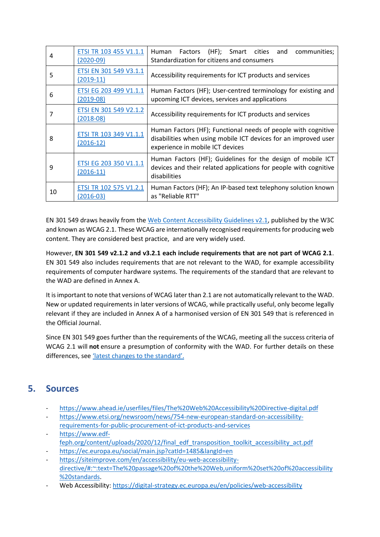| 4  | ETSI TR 103 455 V1.1.1<br>(2020-09)   | Human Factors (HF); Smart cities and<br>communities;<br>Standardization for citizens and consumers                                                                   |
|----|---------------------------------------|----------------------------------------------------------------------------------------------------------------------------------------------------------------------|
| 5  | ETSI EN 301 549 V3.1.1<br>(2019-11)   | Accessibility requirements for ICT products and services                                                                                                             |
| 6  | ETSI EG 203 499 V1.1.1<br>(2019-08)   | Human Factors (HF); User-centred terminology for existing and<br>upcoming ICT devices, services and applications                                                     |
|    | ETSI EN 301 549 V2.1.2<br>$(2018-08)$ | Accessibility requirements for ICT products and services                                                                                                             |
| 8  | ETSI TR 103 349 V1.1.1<br>$(2016-12)$ | Human Factors (HF); Functional needs of people with cognitive<br>disabilities when using mobile ICT devices for an improved user<br>experience in mobile ICT devices |
| 9  | ETSI EG 203 350 V1.1.1<br>$(2016-11)$ | Human Factors (HF); Guidelines for the design of mobile ICT<br>devices and their related applications for people with cognitive<br>disabilities                      |
| 10 | ETSI TR 102 575 V1.2.1<br>$(2016-03)$ | Human Factors (HF); An IP-based text telephony solution known<br>as "Reliable RTT"                                                                                   |

EN 301 549 draws heavily from the [Web Content Accessibility Guidelines v2.1,](https://www.w3.org/TR/WCAG21/) published by the W3C and known as WCAG 2.1. These WCAG are internationally recognised requirements for producing web content. They are considered best practice, and are very widely used.

However, **EN 301 549 v2.1.2 and v3.2.1 each include requirements that are not part of WCAG 2.1**. EN 301 549 also includes requirements that are not relevant to the WAD, for example accessibility requirements of computer hardware systems. The requirements of the standard that are relevant to the WAD are defined in Annex A.

It is important to note that versions of WCAG later than 2.1 are not automatically relevant to the WAD. New or updated requirements in later versions of WCAG, while practically useful, only become legally relevant if they are included in Annex A of a harmonised version of EN 301 549 that is referenced in the Official Journal.

Since EN 301 549 goes further than the requirements of the WCAG, meeting all the success criteria of WCAG 2.1 will **not** ensure a presumption of conformity with the WAD. For further details on these differences, see '[latest changes to the standard](https://digital-strategy.ec.europa.eu/en/policies/changes-accessibility-standard)'.

# <span id="page-9-0"></span>**5. Sources**

- <https://www.ahead.ie/userfiles/files/The%20Web%20Accessibility%20Directive-digital.pdf>
- [https://www.etsi.org/newsroom/news/754-new-european-standard-on-accessibility-](https://www.etsi.org/newsroom/news/754-new-european-standard-on-accessibility-requirements-for-public-procurement-of-ict-products-and-services)
- [requirements-for-public-procurement-of-ict-products-and-services](https://www.etsi.org/newsroom/news/754-new-european-standard-on-accessibility-requirements-for-public-procurement-of-ict-products-and-services) [https://www.edf-](https://www.edf-feph.org/content/uploads/2020/12/final_edf_transposition_toolkit_accessibility_act.pdf)
- [feph.org/content/uploads/2020/12/final\\_edf\\_transposition\\_toolkit\\_accessibility\\_act.pdf](https://www.edf-feph.org/content/uploads/2020/12/final_edf_transposition_toolkit_accessibility_act.pdf)
- <https://ec.europa.eu/social/main.jsp?catId=1485&langId=en>
- [https://siteimprove.com/en/accessibility/eu-web-accessibility](https://siteimprove.com/en/accessibility/eu-web-accessibility-directive/#:~:text=The%20passage%20of%20the%20Web,uniform%20set%20of%20accessibility%20standards)[directive/#:~:text=The%20passage%20of%20the%20Web,uniform%20set%20of%20accessibility](https://siteimprove.com/en/accessibility/eu-web-accessibility-directive/#:~:text=The%20passage%20of%20the%20Web,uniform%20set%20of%20accessibility%20standards) [%20standards.](https://siteimprove.com/en/accessibility/eu-web-accessibility-directive/#:~:text=The%20passage%20of%20the%20Web,uniform%20set%20of%20accessibility%20standards)
- Web Accessibility[: https://digital-strategy.ec.europa.eu/en/policies/web-accessibility](https://digital-strategy.ec.europa.eu/en/policies/web-accessibility)